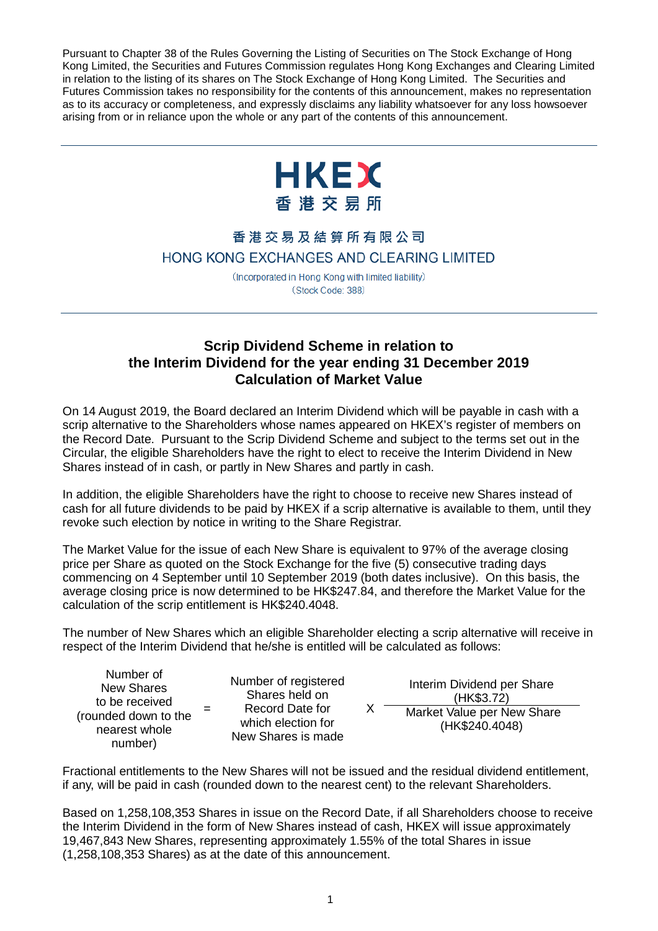Pursuant to Chapter 38 of the Rules Governing the Listing of Securities on The Stock Exchange of Hong Kong Limited, the Securities and Futures Commission regulates Hong Kong Exchanges and Clearing Limited in relation to the listing of its shares on The Stock Exchange of Hong Kong Limited. The Securities and Futures Commission takes no responsibility for the contents of this announcement, makes no representation as to its accuracy or completeness, and expressly disclaims any liability whatsoever for any loss howsoever arising from or in reliance upon the whole or any part of the contents of this announcement.



## 香港交易及結算所有限公司 HONG KONG EXCHANGES AND CLEARING LIMITED

(Incorporated in Hong Kong with limited liability) (Stock Code: 388)

## **Scrip Dividend Scheme in relation to the Interim Dividend for the year ending 31 December 2019 Calculation of Market Value**

On 14 August 2019, the Board declared an Interim Dividend which will be payable in cash with a scrip alternative to the Shareholders whose names appeared on HKEX's register of members on the Record Date. Pursuant to the Scrip Dividend Scheme and subject to the terms set out in the Circular, the eligible Shareholders have the right to elect to receive the Interim Dividend in New Shares instead of in cash, or partly in New Shares and partly in cash.

In addition, the eligible Shareholders have the right to choose to receive new Shares instead of cash for all future dividends to be paid by HKEX if a scrip alternative is available to them, until they revoke such election by notice in writing to the Share Registrar.

The Market Value for the issue of each New Share is equivalent to 97% of the average closing price per Share as quoted on the Stock Exchange for the five (5) consecutive trading days commencing on 4 September until 10 September 2019 (both dates inclusive). On this basis, the average closing price is now determined to be HK\$247.84, and therefore the Market Value for the calculation of the scrip entitlement is HK\$240.4048.

The number of New Shares which an eligible Shareholder electing a scrip alternative will receive in respect of the Interim Dividend that he/she is entitled will be calculated as follows:

 $X$ 

Number of New Shares to be received (rounded down to the nearest whole number)

=

Number of registered Shares held on Record Date for which election for New Shares is made

Interim Dividend per Share (HK\$3.72) Market Value per New Share (HK\$240.4048)

Fractional entitlements to the New Shares will not be issued and the residual dividend entitlement, if any, will be paid in cash (rounded down to the nearest cent) to the relevant Shareholders.

Based on 1,258,108,353 Shares in issue on the Record Date, if all Shareholders choose to receive the Interim Dividend in the form of New Shares instead of cash, HKEX will issue approximately 19,467,843 New Shares, representing approximately 1.55% of the total Shares in issue (1,258,108,353 Shares) as at the date of this announcement.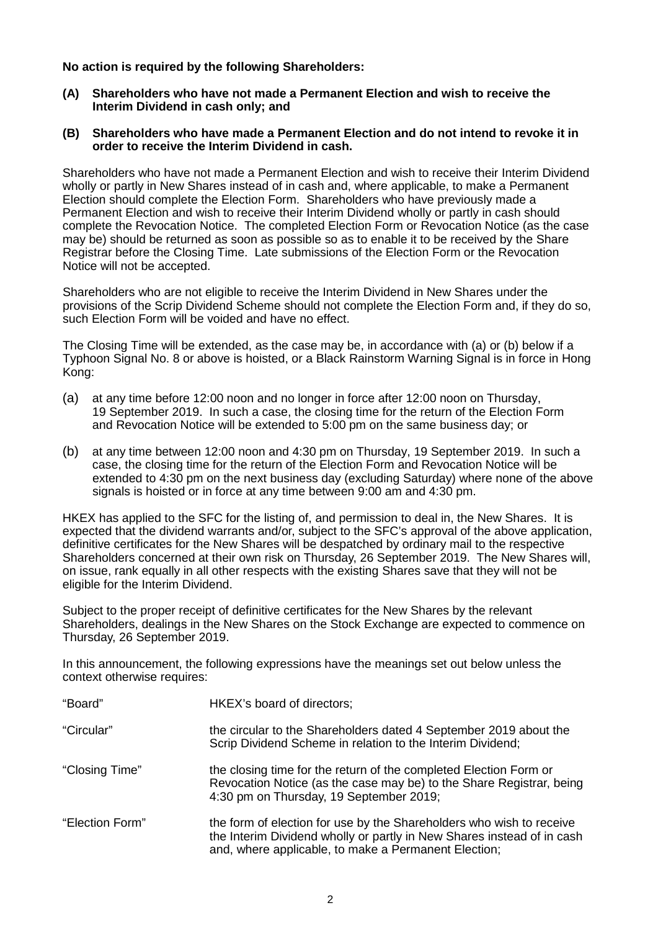## **No action is required by the following Shareholders:**

**(A) Shareholders who have not made a Permanent Election and wish to receive the Interim Dividend in cash only; and**

## **(B) Shareholders who have made a Permanent Election and do not intend to revoke it in order to receive the Interim Dividend in cash.**

Shareholders who have not made a Permanent Election and wish to receive their Interim Dividend wholly or partly in New Shares instead of in cash and, where applicable, to make a Permanent Election should complete the Election Form. Shareholders who have previously made a Permanent Election and wish to receive their Interim Dividend wholly or partly in cash should complete the Revocation Notice. The completed Election Form or Revocation Notice (as the case may be) should be returned as soon as possible so as to enable it to be received by the Share Registrar before the Closing Time. Late submissions of the Election Form or the Revocation Notice will not be accepted.

Shareholders who are not eligible to receive the Interim Dividend in New Shares under the provisions of the Scrip Dividend Scheme should not complete the Election Form and, if they do so, such Election Form will be voided and have no effect.

The Closing Time will be extended, as the case may be, in accordance with (a) or (b) below if a Typhoon Signal No. 8 or above is hoisted, or a Black Rainstorm Warning Signal is in force in Hong Kong:

- (a) at any time before 12:00 noon and no longer in force after 12:00 noon on Thursday, 19 September 2019. In such a case, the closing time for the return of the Election Form and Revocation Notice will be extended to 5:00 pm on the same business day; or
- (b) at any time between 12:00 noon and 4:30 pm on Thursday, 19 September 2019. In such a case, the closing time for the return of the Election Form and Revocation Notice will be extended to 4:30 pm on the next business day (excluding Saturday) where none of the above signals is hoisted or in force at any time between 9:00 am and 4:30 pm.

HKEX has applied to the SFC for the listing of, and permission to deal in, the New Shares. It is expected that the dividend warrants and/or, subject to the SFC's approval of the above application, definitive certificates for the New Shares will be despatched by ordinary mail to the respective Shareholders concerned at their own risk on Thursday, 26 September 2019. The New Shares will, on issue, rank equally in all other respects with the existing Shares save that they will not be eligible for the Interim Dividend.

Subject to the proper receipt of definitive certificates for the New Shares by the relevant Shareholders, dealings in the New Shares on the Stock Exchange are expected to commence on Thursday, 26 September 2019.

In this announcement, the following expressions have the meanings set out below unless the context otherwise requires:

| "Board"         | HKEX's board of directors;                                                                                                                                                                             |
|-----------------|--------------------------------------------------------------------------------------------------------------------------------------------------------------------------------------------------------|
| "Circular"      | the circular to the Shareholders dated 4 September 2019 about the<br>Scrip Dividend Scheme in relation to the Interim Dividend;                                                                        |
| "Closing Time"  | the closing time for the return of the completed Election Form or<br>Revocation Notice (as the case may be) to the Share Registrar, being<br>4:30 pm on Thursday, 19 September 2019;                   |
| "Election Form" | the form of election for use by the Shareholders who wish to receive<br>the Interim Dividend wholly or partly in New Shares instead of in cash<br>and, where applicable, to make a Permanent Election; |